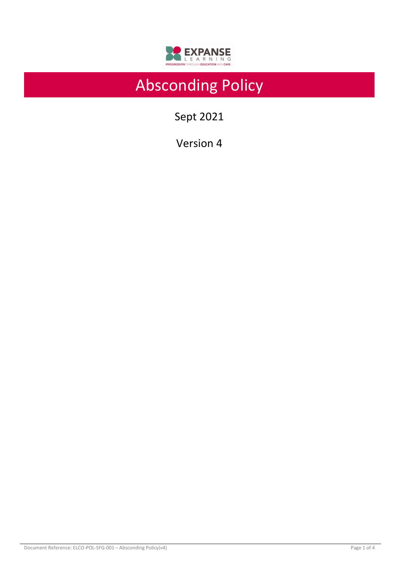

# Absconding Policy

Sept 2021

Version 4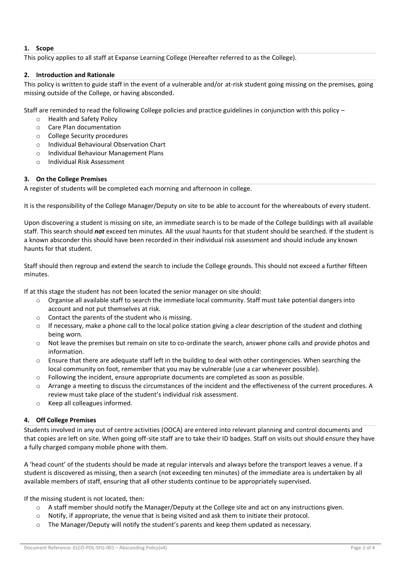## **1. Scope**

This policy applies to all staff at Expanse Learning College (Hereafter referred to as the College).

## **2. Introduction and Rationale**

This policy is written to guide staff in the event of a vulnerable and/or at-risk student going missing on the premises, going missing outside of the College, or having absconded.

Staff are reminded to read the following College policies and practice guidelines in conjunction with this policy –

- o Health and Safety Policy
- o Care Plan documentation
- o College Security procedures
- o Individual Behavioural Observation Chart
- o Individual Behaviour Management Plans
- o Individual Risk Assessment

## **3. On the College Premises**

A register of students will be completed each morning and afternoon in college.

It is the responsibility of the College Manager/Deputy on site to be able to account for the whereabouts of every student.

Upon discovering a student is missing on site, an immediate search is to be made of the College buildings with all available staff. This search should *not* exceed ten minutes. All the usual haunts for that student should be searched. If the student is a known absconder this should have been recorded in their individual risk assessment and should include any known haunts for that student.

Staff should then regroup and extend the search to include the College grounds. This should not exceed a further fifteen minutes.

If at this stage the student has not been located the senior manager on site should:

- $\circ$  Organise all available staff to search the immediate local community. Staff must take potential dangers into account and not put themselves at risk.
- o Contact the parents of the student who is missing.
- $\circ$  If necessary, make a phone call to the local police station giving a clear description of the student and clothing being worn.
- o Not leave the premises but remain on site to co-ordinate the search, answer phone calls and provide photos and information.
- o Ensure that there are adequate staff left in the building to deal with other contingencies. When searching the local community on foot, remember that you may be vulnerable (use a car whenever possible).
- o Following the incident, ensure appropriate documents are completed as soon as possible.
- o Arrange a meeting to discuss the circumstances of the incident and the effectiveness of the current procedures. A review must take place of the student's individual risk assessment.
- o Keep all colleagues informed.

## **4. Off College Premises**

Students involved in any out of centre activities (OOCA) are entered into relevant planning and control documents and that copies are left on site. When going off-site staff are to take their ID badges. Staff on visits out should ensure they have a fully charged company mobile phone with them.

A 'head count' of the students should be made at regular intervals and always before the transport leaves a venue. If a student is discovered as missing, then a search (not exceeding ten minutes) of the immediate area is undertaken by all available members of staff, ensuring that all other students continue to be appropriately supervised.

If the missing student is not located, then:

- o A staff member should notify the Manager/Deputy at the College site and act on any instructions given.
- o Notify, if appropriate, the venue that is being visited and ask them to initiate their protocol.
- $\circ$  The Manager/Deputy will notify the student's parents and keep them updated as necessary.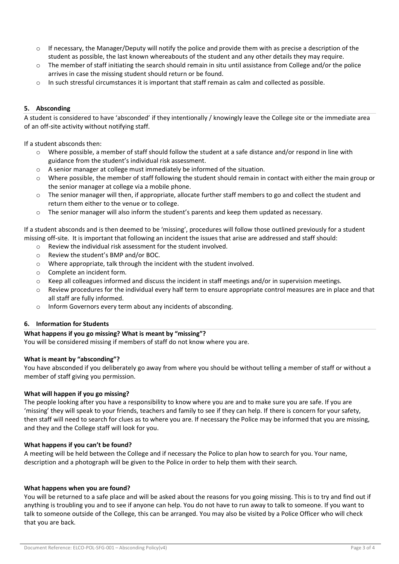- $\circ$  If necessary, the Manager/Deputy will notify the police and provide them with as precise a description of the student as possible, the last known whereabouts of the student and any other details they may require.
- $\circ$  The member of staff initiating the search should remain in situ until assistance from College and/or the police arrives in case the missing student should return or be found.
- o In such stressful circumstances it is important that staff remain as calm and collected as possible.

## **5. Absconding**

A student is considered to have 'absconded' if they intentionally / knowingly leave the College site or the immediate area of an off-site activity without notifying staff.

If a student absconds then:

- o Where possible, a member of staff should follow the student at a safe distance and/or respond in line with guidance from the student's individual risk assessment.
- $\circ$  A senior manager at college must immediately be informed of the situation.
- o Where possible, the member of staff following the student should remain in contact with either the main group or the senior manager at college via a mobile phone.
- $\circ$  The senior manager will then, if appropriate, allocate further staff members to go and collect the student and return them either to the venue or to college.
- $\circ$  The senior manager will also inform the student's parents and keep them updated as necessary.

If a student absconds and is then deemed to be 'missing', procedures will follow those outlined previously for a student missing off-site. It is important that following an incident the issues that arise are addressed and staff should:

- o Review the individual risk assessment for the student involved.
- o Review the student's BMP and/or BOC.
- o Where appropriate, talk through the incident with the student involved.
- o Complete an incident form.
- o Keep all colleagues informed and discuss the incident in staff meetings and/or in supervision meetings.
- o Review procedures for the individual every half term to ensure appropriate control measures are in place and that all staff are fully informed.
- o Inform Governors every term about any incidents of absconding.

#### **6. Information for Students**

## **What happens if you go missing? What is meant by "missing"?**

You will be considered missing if members of staff do not know where you are.

## **What is meant by "absconding"?**

You have absconded if you deliberately go away from where you should be without telling a member of staff or without a member of staff giving you permission.

#### **What will happen if you go missing?**

The people looking after you have a responsibility to know where you are and to make sure you are safe. If you are 'missing' they will speak to your friends, teachers and family to see if they can help. If there is concern for your safety, then staff will need to search for clues as to where you are. If necessary the Police may be informed that you are missing, and they and the College staff will look for you.

#### **What happens if you can't be found?**

A meeting will be held between the College and if necessary the Police to plan how to search for you. Your name, description and a photograph will be given to the Police in order to help them with their search.

#### **What happens when you are found?**

You will be returned to a safe place and will be asked about the reasons for you going missing. This is to try and find out if anything is troubling you and to see if anyone can help. You do not have to run away to talk to someone. If you want to talk to someone outside of the College, this can be arranged. You may also be visited by a Police Officer who will check that you are back.